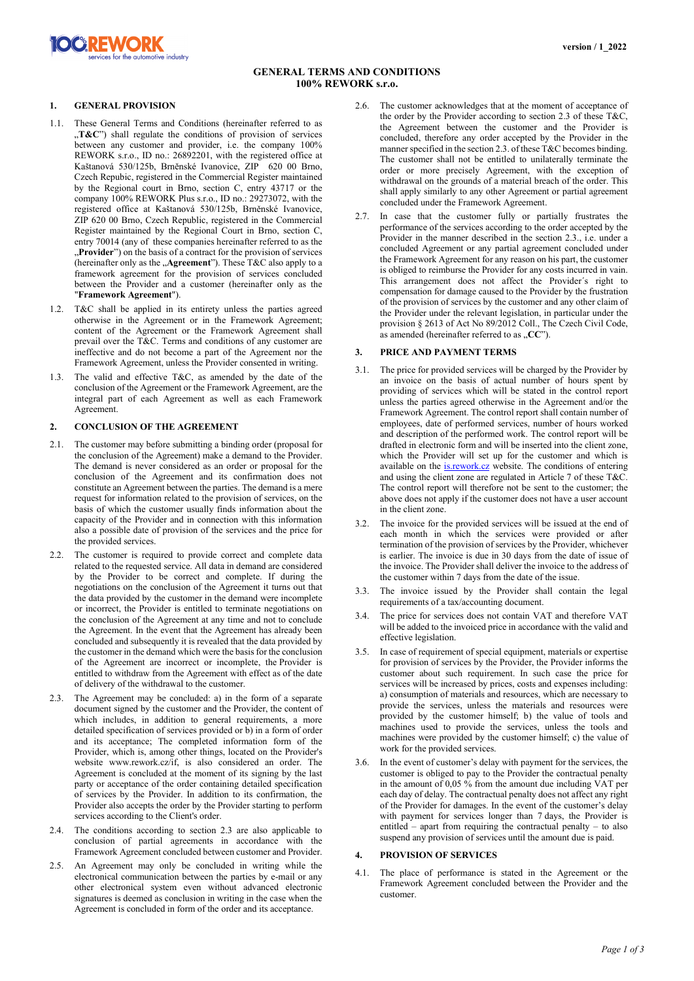

# **GENERAL TERMS AND CONDITIONS 100% REWORK s.r.o.**

## **1. GENERAL PROVISION**

**XC REWORK** 

ervices for the automotive industry

- 1.1. These General Terms and Conditions (hereinafter referred to as ...T&C") shall regulate the conditions of provision of services between any customer and provider, i.e. the company 100% REWORK s.r.o., ID no.: 26892201, with the registered office at Kaštanová 530/125b, Brněnské Ivanovice, ZIP 620 00 Brno, Czech Repubic, registered in the Commercial Register maintained by the Regional court in Brno, section C, entry 43717 or the company 100% REWORK Plus s.r.o., ID no.: 29273072, with the registered office at Kaštanová 530/125b, Brněnské Ivanovice, ZIP 620 00 Brno, Czech Republic, registered in the Commercial Register maintained by the Regional Court in Brno, section C, entry 70014 (any of these companies hereinafter referred to as the **Provider**") on the basis of a contract for the provision of services (hereinafter only as the "Agreement"). These T&C also apply to a framework agreement for the provision of services concluded between the Provider and a customer (hereinafter only as the "**Framework Agreement**").
- 1.2. T&C shall be applied in its entirety unless the parties agreed otherwise in the Agreement or in the Framework Agreement; content of the Agreement or the Framework Agreement shall prevail over the T&C. Terms and conditions of any customer are ineffective and do not become a part of the Agreement nor the Framework Agreement, unless the Provider consented in writing.
- 1.3. The valid and effective T&C, as amended by the date of the conclusion of the Agreement or the Framework Agreement, are the integral part of each Agreement as well as each Framework Agreement.

#### **2. CONCLUSION OF THE AGREEMENT**

- 2.1. The customer may before submitting a binding order (proposal for the conclusion of the Agreement) make a demand to the Provider. The demand is never considered as an order or proposal for the conclusion of the Agreement and its confirmation does not constitute an Agreement between the parties. The demand is a mere request for information related to the provision of services, on the basis of which the customer usually finds information about the capacity of the Provider and in connection with this information also a possible date of provision of the services and the price for the provided services.
- 2.2. The customer is required to provide correct and complete data related to the requested service. All data in demand are considered by the Provider to be correct and complete. If during the negotiations on the conclusion of the Agreement it turns out that the data provided by the customer in the demand were incomplete or incorrect, the Provider is entitled to terminate negotiations on the conclusion of the Agreement at any time and not to conclude the Agreement. In the event that the Agreement has already been concluded and subsequently it is revealed that the data provided by the customer in the demand which were the basis for the conclusion of the Agreement are incorrect or incomplete, the Provider is entitled to withdraw from the Agreement with effect as of the date of delivery of the withdrawal to the customer.
- 2.3. The Agreement may be concluded: a) in the form of a separate document signed by the customer and the Provider, the content of which includes, in addition to general requirements, a more detailed specification of services provided or b) in a form of order and its acceptance; The completed information form of the Provider, which is, among other things, located on the Provider's website www.rework.cz/if, is also considered an order. The Agreement is concluded at the moment of its signing by the last party or acceptance of the order containing detailed specification of services by the Provider. In addition to its confirmation, the Provider also accepts the order by the Provider starting to perform services according to the Client's order.
- 2.4. The conditions according to section 2.3 are also applicable to conclusion of partial agreements in accordance with the Framework Agreement concluded between customer and Provider.
- 2.5. An Agreement may only be concluded in writing while the electronical communication between the parties by e-mail or any other electronical system even without advanced electronic signatures is deemed as conclusion in writing in the case when the Agreement is concluded in form of the order and its acceptance.
- 2.6. The customer acknowledges that at the moment of acceptance of the order by the Provider according to section 2.3 of these T&C, the Agreement between the customer and the Provider is concluded, therefore any order accepted by the Provider in the manner specified in the section 2.3. of these T&C becomes binding. The customer shall not be entitled to unilaterally terminate the order or more precisely Agreement, with the exception of withdrawal on the grounds of a material breach of the order. This shall apply similarly to any other Agreement or partial agreement concluded under the Framework Agreement.
- 2.7. In case that the customer fully or partially frustrates the performance of the services according to the order accepted by the Provider in the manner described in the section 2.3., i.e. under a concluded Agreement or any partial agreement concluded under the Framework Agreement for any reason on his part, the customer is obliged to reimburse the Provider for any costs incurred in vain. This arrangement does not affect the Provider´s right to compensation for damage caused to the Provider by the frustration of the provision of services by the customer and any other claim of the Provider under the relevant legislation, in particular under the provision § 2613 of Act No 89/2012 Coll., The Czech Civil Code, as amended (hereinafter referred to as "CC").

#### **3. PRICE AND PAYMENT TERMS**

- 3.1. The price for provided services will be charged by the Provider by an invoice on the basis of actual number of hours spent by providing of services which will be stated in the control report unless the parties agreed otherwise in the Agreement and/or the Framework Agreement. The control report shall contain number of employees, date of performed services, number of hours worked and description of the performed work. The control report will be drafted in electronic form and will be inserted into the client zone, which the Provider will set up for the customer and which is available on the is.rework.cz website. The conditions of entering and using the client zone are regulated in Article 7 of these T&C. The control report will therefore not be sent to the customer; the above does not apply if the customer does not have a user account in the client zone.
- 3.2. The invoice for the provided services will be issued at the end of each month in which the services were provided or after termination of the provision of services by the Provider, whichever is earlier. The invoice is due in 30 days from the date of issue of the invoice. The Provider shall deliver the invoice to the address of the customer within 7 days from the date of the issue.
- 3.3. The invoice issued by the Provider shall contain the legal requirements of a tax/accounting document.
- 3.4. The price for services does not contain VAT and therefore VAT will be added to the invoiced price in accordance with the valid and effective legislation.
- 3.5. In case of requirement of special equipment, materials or expertise for provision of services by the Provider, the Provider informs the customer about such requirement. In such case the price for services will be increased by prices, costs and expenses including: a) consumption of materials and resources, which are necessary to provide the services, unless the materials and resources were provided by the customer himself; b) the value of tools and machines used to provide the services, unless the tools and machines were provided by the customer himself; c) the value of work for the provided services.
- 3.6. In the event of customer's delay with payment for the services, the customer is obliged to pay to the Provider the contractual penalty in the amount of 0,05 % from the amount due including VAT per each day of delay. The contractual penalty does not affect any right of the Provider for damages. In the event of the customer's delay with payment for services longer than 7 days, the Provider is entitled – apart from requiring the contractual penalty – to also suspend any provision of services until the amount due is paid.

### **4. PROVISION OF SERVICES**

4.1. The place of performance is stated in the Agreement or the Framework Agreement concluded between the Provider and the customer.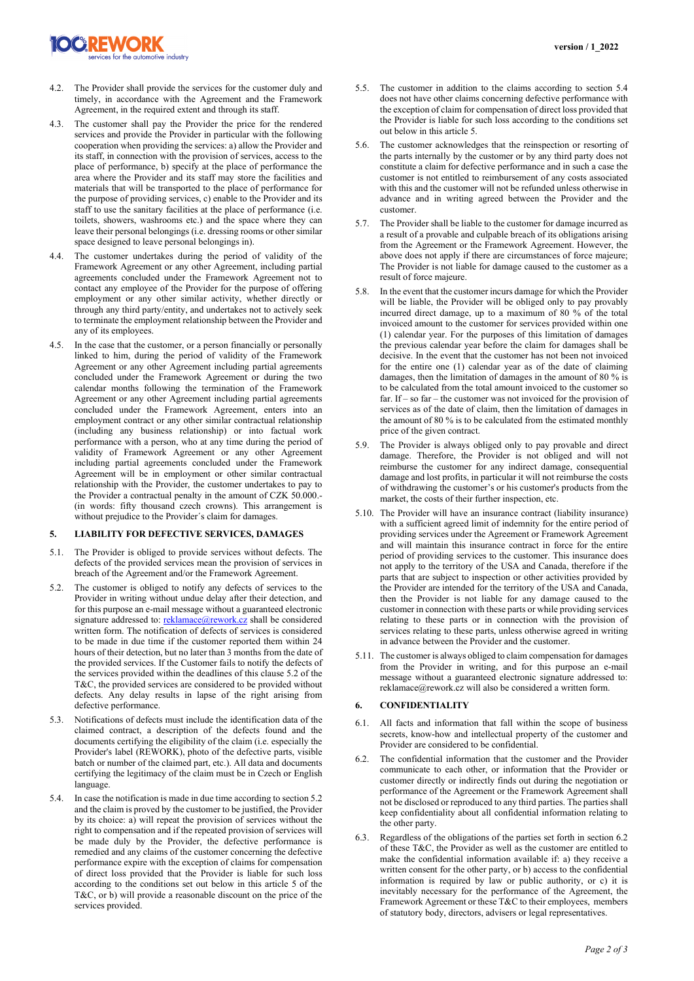

- 4.2. The Provider shall provide the services for the customer duly and timely, in accordance with the Agreement and the Framework Agreement, in the required extent and through its staff.
- 4.3. The customer shall pay the Provider the price for the rendered services and provide the Provider in particular with the following cooperation when providing the services: a) allow the Provider and its staff, in connection with the provision of services, access to the place of performance, b) specify at the place of performance the area where the Provider and its staff may store the facilities and materials that will be transported to the place of performance for the purpose of providing services, c) enable to the Provider and its staff to use the sanitary facilities at the place of performance (i.e. toilets, showers, washrooms etc.) and the space where they can leave their personal belongings (i.e. dressing rooms or other similar space designed to leave personal belongings in).
- 4.4. The customer undertakes during the period of validity of the Framework Agreement or any other Agreement, including partial agreements concluded under the Framework Agreement not to contact any employee of the Provider for the purpose of offering employment or any other similar activity, whether directly or through any third party/entity, and undertakes not to actively seek to terminate the employment relationship between the Provider and any of its employees.
- 4.5. In the case that the customer, or a person financially or personally linked to him, during the period of validity of the Framework Agreement or any other Agreement including partial agreements concluded under the Framework Agreement or during the two calendar months following the termination of the Framework Agreement or any other Agreement including partial agreements concluded under the Framework Agreement, enters into an employment contract or any other similar contractual relationship (including any business relationship) or into factual work performance with a person, who at any time during the period of validity of Framework Agreement or any other Agreement including partial agreements concluded under the Framework Agreement will be in employment or other similar contractual relationship with the Provider, the customer undertakes to pay to the Provider a contractual penalty in the amount of CZK 50.000.- (in words: fifty thousand czech crowns). This arrangement is without prejudice to the Provider´s claim for damages.

## **5. LIABILITY FOR DEFECTIVE SERVICES, DAMAGES**

- 5.1. The Provider is obliged to provide services without defects. The defects of the provided services mean the provision of services in breach of the Agreement and/or the Framework Agreement.
- 5.2. The customer is obliged to notify any defects of services to the Provider in writing without undue delay after their detection, and for this purpose an e-mail message without a guaranteed electronic signature addressed to: [reklamace@rework.cz](mailto:reklamace@rework.cz) shall be considered written form. The notification of defects of services is considered to be made in due time if the customer reported them within 24 hours of their detection, but no later than 3 months from the date of the provided services. If the Customer fails to notify the defects of the services provided within the deadlines of this clause 5.2 of the T&C, the provided services are considered to be provided without defects. Any delay results in lapse of the right arising from defective performance.
- 5.3. Notifications of defects must include the identification data of the claimed contract, a description of the defects found and the documents certifying the eligibility of the claim (i.e. especially the Provider's label (REWORK), photo of the defective parts, visible batch or number of the claimed part, etc.). All data and documents certifying the legitimacy of the claim must be in Czech or English language.
- 5.4. In case the notification is made in due time according to section 5.2 and the claim is proved by the customer to be justified, the Provider by its choice: a) will repeat the provision of services without the right to compensation and if the repeated provision of services will be made duly by the Provider, the defective performance is remedied and any claims of the customer concerning the defective performance expire with the exception of claims for compensation of direct loss provided that the Provider is liable for such loss according to the conditions set out below in this article 5 of the T&C, or b) will provide a reasonable discount on the price of the services provided.
- 5.5. The customer in addition to the claims according to section 5.4 does not have other claims concerning defective performance with the exception of claim for compensation of direct loss provided that the Provider is liable for such loss according to the conditions set out below in this article 5.
- 5.6. The customer acknowledges that the reinspection or resorting of the parts internally by the customer or by any third party does not constitute a claim for defective performance and in such a case the customer is not entitled to reimbursement of any costs associated with this and the customer will not be refunded unless otherwise in advance and in writing agreed between the Provider and the customer.
- 5.7. The Provider shall be liable to the customer for damage incurred as a result of a provable and culpable breach of its obligations arising from the Agreement or the Framework Agreement. However, the above does not apply if there are circumstances of force majeure; The Provider is not liable for damage caused to the customer as a result of force majeure.
- 5.8. In the event that the customer incurs damage for which the Provider will be liable, the Provider will be obliged only to pay provably incurred direct damage, up to a maximum of 80 % of the total invoiced amount to the customer for services provided within one (1) calendar year. For the purposes of this limitation of damages the previous calendar year before the claim for damages shall be decisive. In the event that the customer has not been not invoiced for the entire one (1) calendar year as of the date of claiming damages, then the limitation of damages in the amount of 80 % is to be calculated from the total amount invoiced to the customer so far. If – so far – the customer was not invoiced for the provision of services as of the date of claim, then the limitation of damages in the amount of 80 % is to be calculated from the estimated monthly price of the given contract.
- 5.9. The Provider is always obliged only to pay provable and direct damage. Therefore, the Provider is not obliged and will not reimburse the customer for any indirect damage, consequential damage and lost profits, in particular it will not reimburse the costs of withdrawing the customer's or his customer's products from the market, the costs of their further inspection, etc.
- 5.10. The Provider will have an insurance contract (liability insurance) with a sufficient agreed limit of indemnity for the entire period of providing services under the Agreement or Framework Agreement and will maintain this insurance contract in force for the entire period of providing services to the customer. This insurance does not apply to the territory of the USA and Canada, therefore if the parts that are subject to inspection or other activities provided by the Provider are intended for the territory of the USA and Canada, then the Provider is not liable for any damage caused to the customer in connection with these parts or while providing services relating to these parts or in connection with the provision of services relating to these parts, unless otherwise agreed in writing in advance between the Provider and the customer.
- 5.11. The customer is always obliged to claim compensation for damages from the Provider in writing, and for this purpose an e-mail message without a guaranteed electronic signature addressed to: reklamace@rework.cz will also be considered a written form.

### **6. CONFIDENTIALITY**

- 6.1. All facts and information that fall within the scope of business secrets, know-how and intellectual property of the customer and Provider are considered to be confidential.
- 6.2. The confidential information that the customer and the Provider communicate to each other, or information that the Provider or customer directly or indirectly finds out during the negotiation or performance of the Agreement or the Framework Agreement shall not be disclosed or reproduced to any third parties. The parties shall keep confidentiality about all confidential information relating to the other party.
- 6.3. Regardless of the obligations of the parties set forth in section 6.2 of these T&C, the Provider as well as the customer are entitled to make the confidential information available if: a) they receive a written consent for the other party, or b) access to the confidential information is required by law or public authority, or c) it is inevitably necessary for the performance of the Agreement, the Framework Agreement or these T&C to their employees, members of statutory body, directors, advisers or legal representatives.